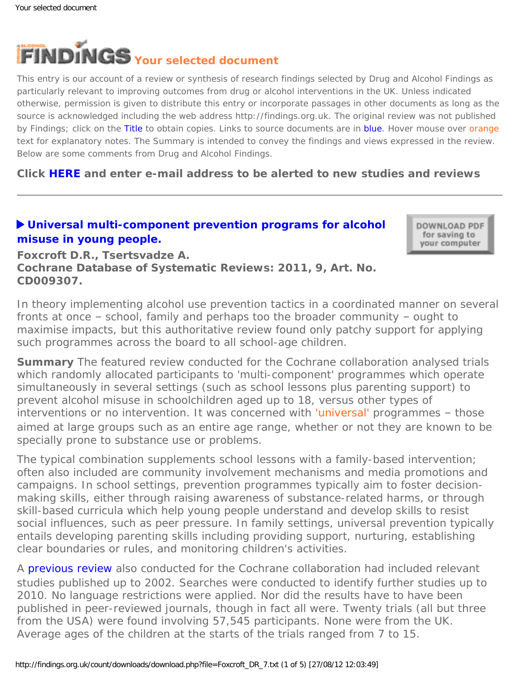<span id="page-0-0"></span>

This entry is our account of a review or synthesis of research findings selected by Drug and Alcohol Findings as particularly relevant to improving outcomes from drug or alcohol interventions in the UK. Unless indicated otherwise, permission is given to distribute this entry or incorporate passages in other documents as long as the source is acknowledged including the web address http://findings.org.uk. The original review was not published by Findings; click on the Title to obtain copies. Links to source documents are in blue. Hover mouse over orange text for explanatory notes. The Summary is intended to convey the findings and views expressed in the review. Below are some comments from Drug and Alcohol Findings.

**Click [HERE](https://findings.org.uk/index.php#signUp) and enter e-mail address to be alerted to new studies and reviews**

# **[Universal multi-component prevention programs for alcohol](http://dx.doi.org/10.1002/14651858.CD009307) [misuse in young people.](http://dx.doi.org/10.1002/14651858.CD009307)**

DOWNLOAD PDF for saving to your computer

**Foxcroft D.R., Tsertsvadze A. Cochrane Database of Systematic Reviews: 2011, 9, Art. No. CD009307.**

In theory implementing alcohol use prevention tactics in a coordinated manner on several *fronts at once – school, family and perhaps too the broader community – ought to maximise impacts, but this authoritative review found only patchy support for applying such programmes across the board to all school-age children.*

**Summary** The featured review conducted for the Cochrane collaboration analysed trials which randomly allocated participants to 'multi-component' programmes which operate simultaneously in several settings (such as school lessons plus parenting support) to prevent alcohol misuse in schoolchildren aged up to 18, versus other types of interventions or no intervention. It was concerned with ['universal'](#page-0-0) programmes - those aimed at large groups such as an entire age range, whether or not they are known to be specially prone to substance use or problems.

The typical combination supplements school lessons with a family-based intervention; often also included are community involvement mechanisms and media promotions and campaigns. In school settings, prevention programmes typically aim to foster decisionmaking skills, either through raising awareness of substance-related harms, or through skill-based curricula which help young people understand and develop skills to resist social influences, such as peer pressure. In family settings, universal prevention typically entails developing parenting skills including providing support, nurturing, establishing clear boundaries or rules, and monitoring children's activities.

A **[previous review](https://findings.org.uk/count/downloads/download.php?file=off_6_6.pdf)** also conducted for the Cochrane collaboration had included relevant studies published up to 2002. Searches were conducted to identify further studies up to 2010. No language restrictions were applied. Nor did the results have to have been published in peer-reviewed journals, though in fact all were. Twenty trials (all but three from the USA) were found involving 57,545 participants. None were from the UK. Average ages of the children at the starts of the trials ranged from 7 to 15.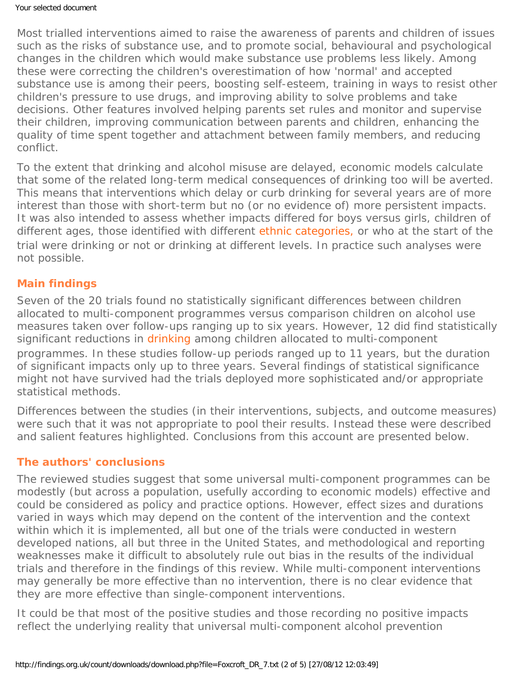Most trialled interventions aimed to raise the awareness of parents and children of issues such as the risks of substance use, and to promote social, behavioural and psychological changes in the children which would make substance use problems less likely. Among these were correcting the children's overestimation of how 'normal' and accepted substance use is among their peers, boosting self-esteem, training in ways to resist other children's pressure to use drugs, and improving ability to solve problems and take decisions. Other features involved helping parents set rules and monitor and supervise their children, improving communication between parents and children, enhancing the quality of time spent together and attachment between family members, and reducing conflict.

To the extent that drinking and alcohol misuse are delayed, economic models calculate that some of the related long-term medical consequences of drinking too will be averted. This means that interventions which delay or curb drinking for several years are of more interest than those with short-term but no (or no evidence of) more persistent impacts. It was also intended to assess whether impacts differed for boys versus girls, children of different ages, those identified with different [ethnic categories,](#page-0-0) or who at the start of the trial were drinking or not or drinking at different levels. In practice such analyses were not possible.

# **Main findings**

Seven of the 20 trials found no statistically significant differences between children allocated to multi-component programmes versus comparison children on alcohol use measures taken over follow-ups ranging up to six years. However, 12 did find statistically significant reductions in [drinking](#page-0-0) among children allocated to multi-component programmes. In these studies follow-up periods ranged up to 11 years, but the duration of significant impacts only up to three years. Several findings of statistical significance might not have survived had the trials deployed more sophisticated and/or appropriate statistical methods.

Differences between the studies (in their interventions, subjects, and outcome measures) were such that it was not appropriate to pool their results. Instead these were described and salient features highlighted. Conclusions from this account are presented below.

#### **The authors' conclusions**

The reviewed studies suggest that some universal multi-component programmes can be modestly (but across a population, usefully according to economic models) effective and could be considered as policy and practice options. However, effect sizes and durations varied in ways which may depend on the content of the intervention and the context within which it is implemented, all but one of the trials were conducted in western developed nations, all but three in the United States, and methodological and reporting weaknesses make it difficult to absolutely rule out bias in the results of the individual trials and therefore in the findings of this review. While multi-component interventions may generally be more effective than no intervention, there is no clear evidence that they are more effective than single-component interventions.

It could be that most of the positive studies and those recording no positive impacts reflect the underlying reality that universal multi-component alcohol prevention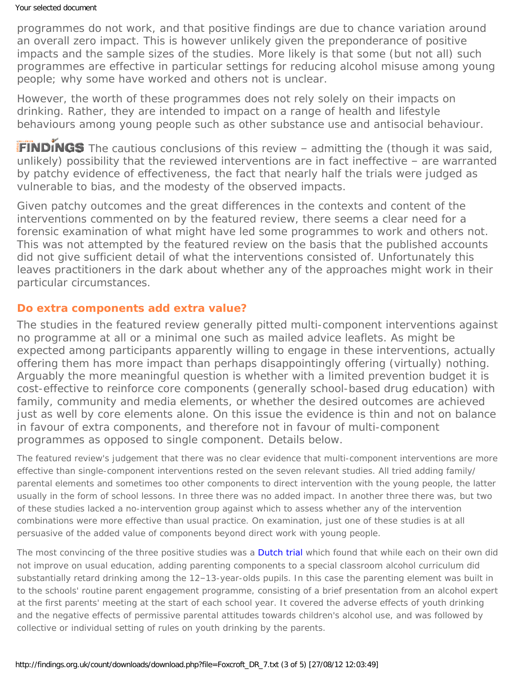programmes do not work, and that positive findings are due to chance variation around an overall zero impact. This is however unlikely given the preponderance of positive impacts and the sample sizes of the studies. More likely is that some (but not all) such programmes are effective in particular settings for reducing alcohol misuse among young people; why some have worked and others not is unclear.

However, the worth of these programmes does not rely solely on their impacts on drinking. Rather, they are intended to impact on a range of health and lifestyle behaviours among young people such as other substance use and antisocial behaviour.

**FINDINGS** The cautious conclusions of this review - admitting the (though it was said, unlikely) possibility that the reviewed interventions are in fact ineffective – are warranted by patchy evidence of effectiveness, the fact that nearly half the trials were judged as vulnerable to bias, and the modesty of the observed impacts.

Given patchy outcomes and the great differences in the contexts and content of the interventions commented on by the featured review, there seems a clear need for a forensic examination of what might have led some programmes to work and others not. This was not attempted by the featured review on the basis that the published accounts did not give sufficient detail of what the interventions consisted of. Unfortunately this leaves practitioners in the dark about whether any of the approaches might work in their particular circumstances.

### **Do extra components add extra value?**

The studies in the featured review generally pitted multi-component interventions against no programme at all or a minimal one such as mailed advice leaflets. As might be expected among participants apparently willing to engage in these interventions, actually offering them has more impact than perhaps disappointingly offering (virtually) nothing. Arguably the more meaningful question is whether with a limited prevention budget it is cost-effective to reinforce core components (generally school-based drug education) with family, community and media elements, or whether the desired outcomes are achieved just as well by core elements alone. On this issue the evidence is thin and not on balance in favour of extra components, and therefore not in favour of multi-component programmes as opposed to single component. Details below.

The featured review's judgement that there was no clear evidence that multi-component interventions are more effective than single-component interventions rested on the seven relevant studies. All tried adding family/ parental elements and sometimes too other components to direct intervention with the young people, the latter usually in the form of school lessons. In three there was no added impact. In another three there was, but two of these studies lacked a no-intervention group against which to assess whether *any* of the intervention combinations were more effective than usual practice. On examination, just one of these studies is at all persuasive of the added value of components beyond direct work with young people.

The most convincing of the three positive studies was a [Dutch trial](https://findings.org.uk/count/downloads/download.php?file=Koning_IM_4.txt) which found that while each on their own did not improve on usual education, adding parenting components to a special classroom alcohol curriculum did substantially retard drinking among the 12–13-year-olds pupils. In this case the parenting element was built in to the schools' routine parent engagement programme, consisting of a brief presentation from an alcohol expert at the first parents' meeting at the start of each school year. It covered the adverse effects of youth drinking and the negative effects of permissive parental attitudes towards children's alcohol use, and was followed by collective or individual setting of rules on youth drinking by the parents.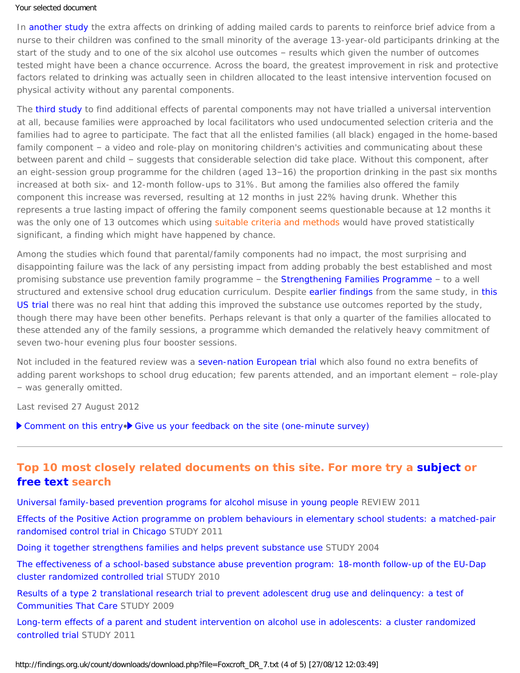#### Your selected document

In [another study](http://dx.doi.org/10.1111/j.1746-1561.2003.tb04181.x) the extra affects on drinking of adding mailed cards to parents to reinforce brief advice from a nurse to their children was confined to the small minority of the average 13-year-old participants drinking at the start of the study and to one of the six alcohol use outcomes – results which given the number of outcomes tested might have been a chance occurrence. Across the board, the greatest improvement in risk and protective factors related to drinking was actually seen in children allocated to the least intensive intervention focused on physical activity without any parental components.

The [third study](http://dx.doi.org/10.1111/j.1746-1561.2003.tb04181.x) to find additional effects of parental components may not have trialled a universal intervention at all, because families were approached by local facilitators who used undocumented selection criteria and the families had to agree to participate. The fact that all the enlisted families (all black) engaged in the home-based family component – a video and role-play on monitoring children's activities and communicating about these between parent and child – suggests that considerable selection did take place. Without this component, after an eight-session group programme for the children (aged 13–16) the proportion drinking in the past six months increased at both six- and 12-month follow-ups to 31%. But among the families also offered the family component this increase was reversed, resulting at 12 months in just 22% having drunk. Whether this represents a true lasting impact of offering the family component seems questionable because at 12 months it was the only one of 13 outcomes which using [suitable criteria and methods](#page-0-0) would have proved statistically significant, a finding which might have happened by chance.

Among the studies which found that parental/family components had no impact, the most surprising and disappointing failure was the lack of any persisting impact from adding probably the best established and most promising substance use prevention family programme – the [Strengthening Families Programme](https://findings.org.uk/count/downloads/download.php?file=Ashton_M_24.pdf) – to a well structured and extensive school drug education curriculum. Despite [earlier findings](https://findings.org.uk/count/downloads/download.php?file=nug_9_10.pdf) from the same study, in this [US trial](https://findings.org.uk/count/downloads/download.php?file=Spoth_R_17.txt) there was no real hint that adding this improved the substance use outcomes reported by the study, though there may have been other benefits. Perhaps relevant is that only a quarter of the families allocated to these attended any of the family sessions, a programme which demanded the relatively heavy commitment of seven two-hour evening plus four booster sessions.

Not included in the featured review was a [seven-nation European trial](https://findings.org.uk/count/downloads/download.php?file=Faggiano_F_9.txt) which also found no extra benefits of adding parent workshops to school drug education; few parents attended, and an important element – role-play – was generally omitted.

Last revised 27 August 2012

[Comment on this entry](mailto:editor@findings.org.uk?Subject=Findings%20entry:%20Universal%20multi-component%20prevention%20programs%20for%20alcohol%20misuse%20in%20young%20people)• [Give us your feedback on the site \(one-minute survey\)](https://www.surveymonkey.com/s/8VR929J)

## **Top 10 most closely related documents on this site. For more try a [subject](https://findings.org.uk/topic_search.htm) or [free text](https://findings.org.uk/free_search.htm) search**

[Universal family-based prevention programs for alcohol misuse in young people](https://findings.org.uk/count/downloads/download.php?file=Foxcroft_DR_6.txt) REVIEW 2011

[Effects of the Positive Action programme on problem behaviours in elementary school students: a matched-pair](https://findings.org.uk/count/downloads/download.php?file=Li_KK_1.txt) [randomised control trial in Chicago](https://findings.org.uk/count/downloads/download.php?file=Li_KK_1.txt) STUDY 2011

[Doing it together strengthens families and helps prevent substance use](https://findings.org.uk/count/downloads/download.php?file=Ashton_M_24.pdf) STUDY 2004

[The effectiveness of a school-based substance abuse prevention program: 18-month follow-up of the EU-Dap](https://findings.org.uk/count/downloads/download.php?file=Faggiano_F_9.txt) [cluster randomized controlled trial](https://findings.org.uk/count/downloads/download.php?file=Faggiano_F_9.txt) STUDY 2010

[Results of a type 2 translational research trial to prevent adolescent drug use and delinquency: a test of](https://findings.org.uk/count/downloads/download.php?file=Hawkins_JD_3.txt) [Communities That Care](https://findings.org.uk/count/downloads/download.php?file=Hawkins_JD_3.txt) STUDY 2009

[Long-term effects of a parent and student intervention on alcohol use in adolescents: a cluster randomized](https://findings.org.uk/count/downloads/download.php?file=Koning_IM_4.txt) [controlled trial](https://findings.org.uk/count/downloads/download.php?file=Koning_IM_4.txt) STUDY 2011